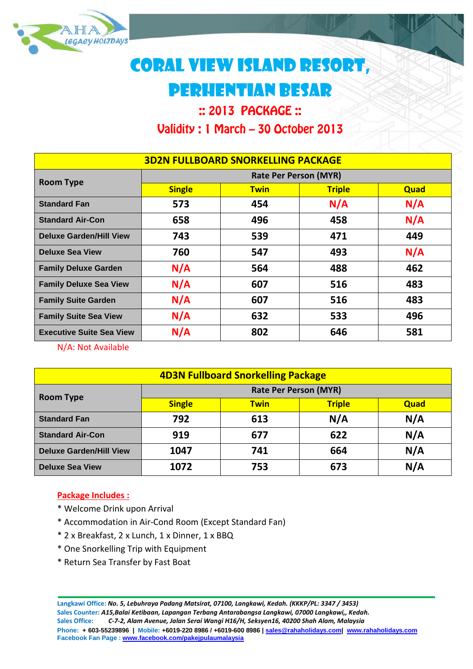

# CORAL VIEW ISLAND RESORT, pERHENTIAN bESAR

# :: 2013 PACKAGE :: Validity : 1 March – 30 October 2013

| <b>3D2N FULLBOARD SNORKELLING PACKAGE</b> |                              |             |               |      |  |  |
|-------------------------------------------|------------------------------|-------------|---------------|------|--|--|
| <b>Room Type</b>                          | <b>Rate Per Person (MYR)</b> |             |               |      |  |  |
|                                           | <b>Single</b>                | <b>Twin</b> | <b>Triple</b> | Quad |  |  |
| <b>Standard Fan</b>                       | 573                          | 454         | N/A           | N/A  |  |  |
| <b>Standard Air-Con</b>                   | 658                          | 496         | 458           | N/A  |  |  |
| <b>Deluxe Garden/Hill View</b>            | 743                          | 539         | 471           | 449  |  |  |
| <b>Deluxe Sea View</b>                    | 760                          | 547         | 493           | N/A  |  |  |
| <b>Family Deluxe Garden</b>               | N/A                          | 564         | 488           | 462  |  |  |
| <b>Family Deluxe Sea View</b>             | N/A                          | 607         | 516           | 483  |  |  |
| <b>Family Suite Garden</b>                | N/A                          | 607         | 516           | 483  |  |  |
| <b>Family Suite Sea View</b>              | N/A                          | 632         | 533           | 496  |  |  |
| <b>Executive Suite Sea View</b>           | N/A                          | 802         | 646           | 581  |  |  |

N/A: Not Available

| <b>4D3N Fullboard Snorkelling Package</b> |                              |             |               |      |  |  |  |
|-------------------------------------------|------------------------------|-------------|---------------|------|--|--|--|
| <b>Room Type</b>                          | <b>Rate Per Person (MYR)</b> |             |               |      |  |  |  |
|                                           | <b>Single</b>                | <b>Twin</b> | <b>Triple</b> | Quad |  |  |  |
| <b>Standard Fan</b>                       | 792                          | 613         | N/A           | N/A  |  |  |  |
| <b>Standard Air-Con</b>                   | 919                          | 677         | 622           | N/A  |  |  |  |
| <b>Deluxe Garden/Hill View</b>            | 1047                         | 741         | 664           | N/A  |  |  |  |
| <b>Deluxe Sea View</b>                    | 1072                         | 753         | 673           | N/A  |  |  |  |

## **Package Includes :**

- \* Welcome Drink upon Arrival
- \* Accommodation in Air-Cond Room (Except Standard Fan)
- \* 2 x Breakfast, 2 x Lunch, 1 x Dinner, 1 x BBQ
- \* One Snorkelling Trip with Equipment
- \* Return Sea Transfer by Fast Boat